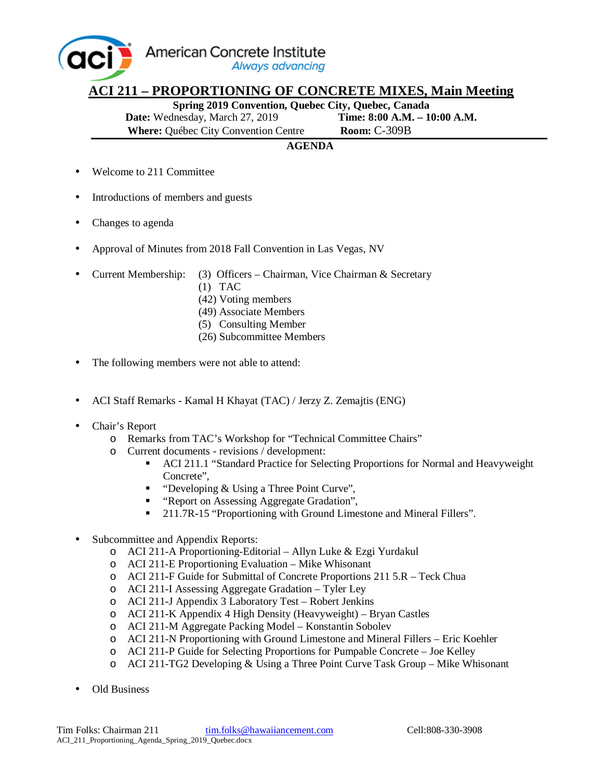American Concrete Institute aci Always advancing

## **ACI 211 – PROPORTIONING OF CONCRETE MIXES, Main Meeting**

**Spring 2019 Convention, Quebec City, Quebec, Canada Date:** Wednesday, March 27, 2019 **Time: 8:00 A.M. – 10:00 A.M. Where:** Québec City Convention Centre **Room:** C-309B

## **AGENDA**

- Welcome to 211 Committee
- Introductions of members and guests
- Changes to agenda
- Approval of Minutes from 2018 Fall Convention in Las Vegas, NV
- Current Membership: (3) Officers Chairman, Vice Chairman & Secretary
	- (1) TAC
	- (42) Voting members
	- (49) Associate Members
	- (5) Consulting Member
	- (26) Subcommittee Members
- The following members were not able to attend:
- ACI Staff Remarks Kamal H Khayat (TAC) / Jerzy Z. Zemajtis (ENG)
- Chair's Report
	- o Remarks from TAC's Workshop for "Technical Committee Chairs"
	- o Current documents revisions / development:
		- ACI 211.1 "Standard Practice for Selecting Proportions for Normal and Heavyweight Concrete",
		- "Developing & Using a Three Point Curve",
		- " "Report on Assessing Aggregate Gradation",
		- <sup>•</sup> 211.7R-15 "Proportioning with Ground Limestone and Mineral Fillers".
- Subcommittee and Appendix Reports:
	- o ACI 211‐A Proportioning‐Editorial Allyn Luke & Ezgi Yurdakul
	- o ACI 211‐E Proportioning Evaluation Mike Whisonant
	- o ACI 211-F Guide for Submittal of Concrete Proportions 211 5.R Teck Chua
	- o ACI 211‐I Assessing Aggregate Gradation Tyler Ley
	- o ACI 211-J Appendix 3 Laboratory Test Robert Jenkins
	- o ACI 211-K Appendix 4 High Density (Heavyweight) Bryan Castles
	- o ACI 211‐M Aggregate Packing Model Konstantin Sobolev
	- o ACI 211‐N Proportioning with Ground Limestone and Mineral Fillers Eric Koehler
	- o ACI 211‐P Guide for Selecting Proportions for Pumpable Concrete Joe Kelley
	- o ACI 211-TG2 Developing & Using a Three Point Curve Task Group Mike Whisonant
- Old Business